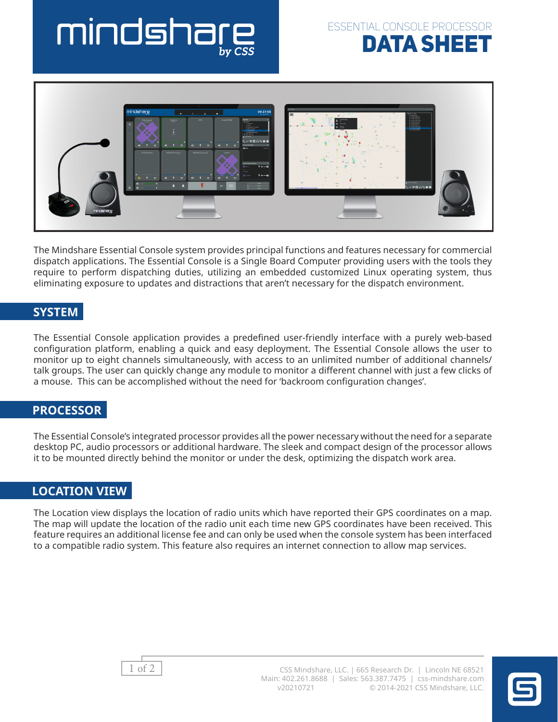# mindsha





The Mindshare Essential Console system provides principal functions and features necessary for commercial dispatch applications. The Essential Console is a Single Board Computer providing users with the tools they require to perform dispatching duties, utilizing an embedded customized Linux operating system, thus eliminating exposure to updates and distractions that aren't necessary for the dispatch environment.

### **SYSTEM**

The Essential Console application provides a predefined user-friendly interface with a purely web-based configuration platform, enabling a quick and easy deployment. The Essential Console allows the user to monitor up to eight channels simultaneously, with access to an unlimited number of additional channels/ talk groups. The user can quickly change any module to monitor a different channel with just a few clicks of a mouse. This can be accomplished without the need for 'backroom configuration changes'.

#### **PROCESSOR**

The Essential Console's integrated processor provides all the power necessary without the need for a separate desktop PC, audio processors or additional hardware. The sleek and compact design of the processor allows it to be mounted directly behind the monitor or under the desk, optimizing the dispatch work area.

### **LOCATION VIEW**

The Location view displays the location of radio units which have reported their GPS coordinates on a map. The map will update the location of the radio unit each time new GPS coordinates have been received. This feature requires an additional license fee and can only be used when the console system has been interfaced to a compatible radio system. This feature also requires an internet connection to allow map services.